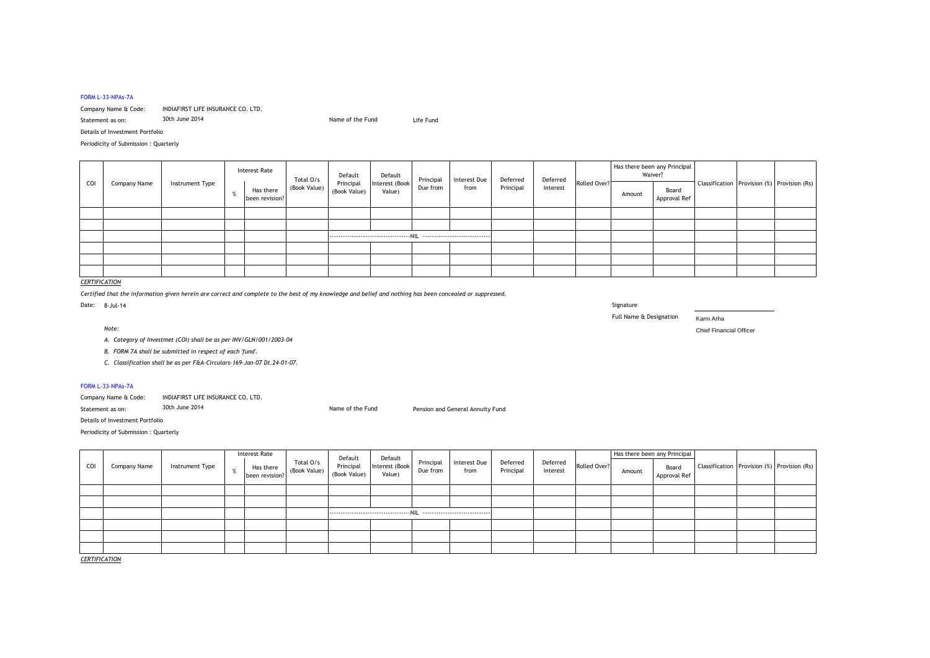#### FORM L-33-NPAs-7A

# Company Name & Code: INDIAFIRST LIFE INSURANCE CO. LTD.

| 30th June 2014<br>Statement as on: | Name of the Fund | Life Fund |
|------------------------------------|------------------|-----------|
|------------------------------------|------------------|-----------|

Details of Investment Portfolio

Periodicity of Submission : Quarterly

| COI | Company Name | Instrument Type | <b>Interest Rate</b>        | Total O/s    | Default                   | Default<br>Interest (Book<br>Value) | Due from | Principal   Interest Due  <br>from | Deferred<br>Principal | Deferred<br>Interest | Rolled Over? | Has there been any Principal<br>Waiver? |                       |  |                                                 |
|-----|--------------|-----------------|-----------------------------|--------------|---------------------------|-------------------------------------|----------|------------------------------------|-----------------------|----------------------|--------------|-----------------------------------------|-----------------------|--|-------------------------------------------------|
|     |              |                 | Has there<br>been revision? | (Book Value) | Principal<br>(Book Value) |                                     |          |                                    |                       |                      |              | Amount                                  | Board<br>Approval Ref |  | Classification   Provision (%)   Provision (Rs) |
|     |              |                 |                             |              |                           |                                     |          |                                    |                       |                      |              |                                         |                       |  |                                                 |
|     |              |                 |                             |              |                           |                                     |          |                                    |                       |                      |              |                                         |                       |  |                                                 |
|     |              |                 |                             |              |                           |                                     |          |                                    |                       |                      |              |                                         |                       |  |                                                 |
|     |              |                 |                             |              |                           |                                     |          |                                    |                       |                      |              |                                         |                       |  |                                                 |
|     |              |                 |                             |              |                           |                                     |          |                                    |                       |                      |              |                                         |                       |  |                                                 |
|     |              |                 |                             |              |                           |                                     |          |                                    |                       |                      |              |                                         |                       |  |                                                 |

# *CERTIFICATION*

*Certified that the information given herein are correct and complete to the best of my knowledge and belief and nothing has been concealed or suppressed.*

Name of the Fund

Full Name & Designation Karni Arha

*Note:* Chief Financial Officer

*A. Category of Investmet (COI) shall be as per INV/GLN/001/2003-04*

*B. FORM 7A shall be submitted in respect of each 'fund'.*

*C. Classification shall be as per F&A-Circulars-169-Jan-07 Dt.24-01-07.*

### FORM L-33-NPAs-7A

Company Name & Code: INDIAFIRST LIFE INSURANCE CO. LTD.

Statement as on: 30th June 2014 **Pension and General Annuity Fund** Pension and General Annuity Fund

Details of Investment Portfolio

Periodicity of Submission : Quarterly

|     | Company Name | Instrument Type | <b>Interest Rate</b><br>Has there<br>been revision? | Total O/s<br>(Book Value) | Default                   | Default<br>Interest (Book<br>Value) | Principal<br>Due from | Interest Due<br>from | Deferred<br>Principal | Deferred<br>Interest | Rolled Over? | Has there been any Principal |                       |  |                                                 |
|-----|--------------|-----------------|-----------------------------------------------------|---------------------------|---------------------------|-------------------------------------|-----------------------|----------------------|-----------------------|----------------------|--------------|------------------------------|-----------------------|--|-------------------------------------------------|
| COI |              |                 |                                                     |                           | Principal<br>(Book Value) |                                     |                       |                      |                       |                      |              | Amount                       | Board<br>Approval Ref |  | Classification   Provision (%)   Provision (Rs) |
|     |              |                 |                                                     |                           |                           |                                     |                       |                      |                       |                      |              |                              |                       |  |                                                 |
|     |              |                 |                                                     |                           |                           |                                     |                       |                      |                       |                      |              |                              |                       |  |                                                 |
|     |              |                 |                                                     |                           |                           |                                     |                       |                      |                       |                      |              |                              |                       |  |                                                 |
|     |              |                 |                                                     |                           |                           |                                     |                       |                      |                       |                      |              |                              |                       |  |                                                 |
|     |              |                 |                                                     |                           |                           |                                     |                       |                      |                       |                      |              |                              |                       |  |                                                 |
|     |              |                 |                                                     |                           |                           |                                     |                       |                      |                       |                      |              |                              |                       |  |                                                 |

*CERTIFICATION*